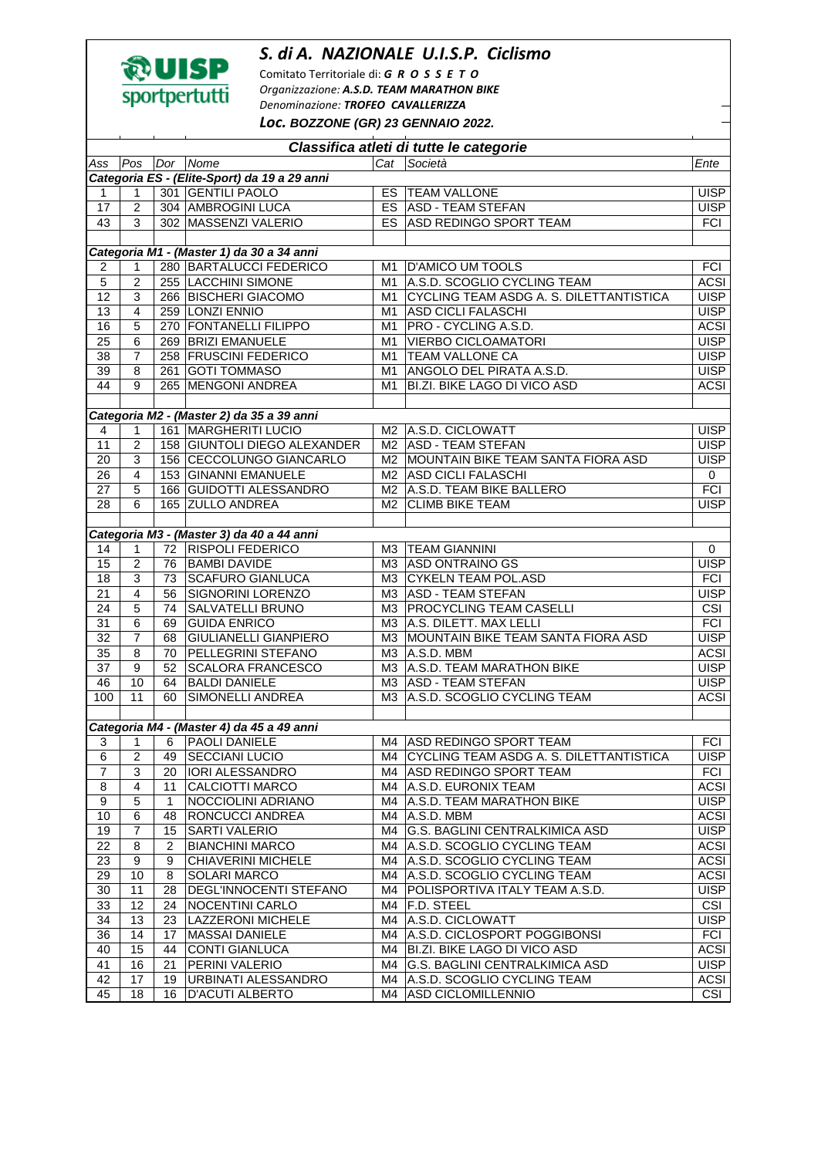## *S. di A. NAZIONALE U.I.S.P. Ciclismo*



Comitato Territoriale di: *G R O S S E T O Organizzazione: A.S.D. TEAM MARATHON BIKE Denominazione: TROFEO CAVALLERIZZA*

*Loc.* **BOZZONE (GR) 23 GENNAIO 2022.** 

| Classifica atleti di tutte le categorie |                                           |              |                                              |    |                                            |                         |  |  |  |  |  |
|-----------------------------------------|-------------------------------------------|--------------|----------------------------------------------|----|--------------------------------------------|-------------------------|--|--|--|--|--|
| Ass                                     | Pos                                       |              | Dor Nome                                     |    | Cat Società                                | Ente                    |  |  |  |  |  |
|                                         |                                           |              | Categoria ES - (Elite-Sport) da 19 a 29 anni |    |                                            |                         |  |  |  |  |  |
| 1                                       | 1                                         |              | 301 GENTILI PAOLO                            |    | ES   TEAM VALLONE                          | <b>UISP</b>             |  |  |  |  |  |
| 17                                      | $\overline{2}$                            |              | 304 AMBROGINI LUCA                           |    | ES ASD - TEAM STEFAN                       | <b>UISP</b>             |  |  |  |  |  |
| 43                                      | 3                                         |              | 302 MASSENZI VALERIO                         |    | ES ASD REDINGO SPORT TEAM                  | <b>FCI</b>              |  |  |  |  |  |
|                                         |                                           |              |                                              |    |                                            |                         |  |  |  |  |  |
|                                         | Categoria M1 - (Master 1) da 30 a 34 anni |              |                                              |    |                                            |                         |  |  |  |  |  |
| 2                                       | 1                                         |              | 280 BARTALUCCI FEDERICO                      | M1 | <b>D'AMICO UM TOOLS</b>                    | <b>FCI</b>              |  |  |  |  |  |
| $\overline{5}$                          | $\overline{2}$                            |              | 255 LACCHINI SIMONE                          | M1 | A.S.D. SCOGLIO CYCLING TEAM                | <b>ACSI</b>             |  |  |  |  |  |
| $\overline{12}$                         | 3                                         |              | 266 BISCHERI GIACOMO                         | M1 | CYCLING TEAM ASDG A. S. DILETTANTISTICA    | <b>UISP</b>             |  |  |  |  |  |
| 13                                      | $\overline{4}$                            |              | 259 LONZI ENNIO                              | M1 | <b>ASD CICLI FALASCHI</b>                  | <b>UISP</b>             |  |  |  |  |  |
| 16                                      | 5                                         |              | 270 FONTANELLI FILIPPO                       | M1 | PRO - CYCLING A.S.D.                       | <b>ACSI</b>             |  |  |  |  |  |
| 25                                      | $6\phantom{1}$                            |              | 269 BRIZI EMANUELE                           | M1 | <b>VIERBO CICLOAMATORI</b>                 | <b>UISP</b>             |  |  |  |  |  |
| 38                                      | $\overline{7}$                            |              | 258 FRUSCINI FEDERICO                        | M1 | <b>TEAM VALLONE CA</b>                     | <b>UISP</b>             |  |  |  |  |  |
| 39                                      | 8                                         |              | 261 GOTI TOMMASO                             |    | M1 ANGOLO DEL PIRATA A.S.D.                | <b>UISP</b>             |  |  |  |  |  |
| 44                                      | 9                                         |              | 265 MENGONI ANDREA                           | M1 | BI.ZI. BIKE LAGO DI VICO ASD               | <b>ACSI</b>             |  |  |  |  |  |
|                                         |                                           |              |                                              |    |                                            |                         |  |  |  |  |  |
|                                         |                                           |              | Categoria M2 - (Master 2) da 35 a 39 anni    |    |                                            |                         |  |  |  |  |  |
| 4                                       | $\mathbf{1}$                              |              | 161   MARGHERITI LUCIO                       |    | M2 A.S.D. CICLOWATT                        | <b>UISP</b>             |  |  |  |  |  |
| 11                                      | $\overline{2}$                            |              | 158 GIUNTOLI DIEGO ALEXANDER                 |    | M2 ASD - TEAM STEFAN                       | <b>UISP</b>             |  |  |  |  |  |
| $\overline{20}$                         | 3                                         |              | 156 CECCOLUNGO GIANCARLO                     |    | M2 MOUNTAIN BIKE TEAM SANTA FIORA ASD      | <b>UISP</b>             |  |  |  |  |  |
| 26                                      | $\overline{4}$                            |              | 153 GINANNI EMANUELE                         |    | M2 ASD CICLI FALASCHI                      | 0                       |  |  |  |  |  |
| 27                                      | 5                                         |              | 166 GUIDOTTI ALESSANDRO                      |    | M2 A.S.D. TEAM BIKE BALLERO                | FCI                     |  |  |  |  |  |
| 28                                      | 6                                         |              | 165 ZULLO ANDREA                             | M2 | <b>CLIMB BIKE TEAM</b>                     | <b>UISP</b>             |  |  |  |  |  |
|                                         |                                           |              |                                              |    |                                            |                         |  |  |  |  |  |
|                                         |                                           |              | Categoria M3 - (Master 3) da 40 a 44 anni    |    |                                            |                         |  |  |  |  |  |
| 14                                      | 1                                         | 72           | <b>RISPOLI FEDERICO</b>                      |    | M3   TEAM GIANNINI                         | 0                       |  |  |  |  |  |
| 15                                      | $\overline{c}$                            | 76           | <b>BAMBI DAVIDE</b>                          |    | M3 ASD ONTRAINO GS                         | <b>UISP</b>             |  |  |  |  |  |
| 18                                      | $\mathfrak{S}$                            | 73           | <b>SCAFURO GIANLUCA</b>                      |    | M3 CYKELN TEAM POL.ASD                     | <b>FCI</b>              |  |  |  |  |  |
| 21                                      | $\overline{4}$                            | 56           | <b>SIGNORINI LORENZO</b>                     |    | M3 ASD - TEAM STEFAN                       | <b>UISP</b>             |  |  |  |  |  |
| 24                                      | 5                                         | 74           | <b>SALVATELLI BRUNO</b>                      |    | M3 PROCYCLING TEAM CASELLI                 | $\overline{\text{CSI}}$ |  |  |  |  |  |
| $\overline{31}$                         | $\overline{6}$                            | 69           | <b>GUIDA ENRICO</b>                          |    | M3   A.S. DILETT. MAX LELLI                | FCI                     |  |  |  |  |  |
| 32                                      | $\overline{7}$                            | 68           | <b>GIULIANELLI GIANPIERO</b>                 |    | M3 MOUNTAIN BIKE TEAM SANTA FIORA ASD      | <b>UISP</b>             |  |  |  |  |  |
| 35                                      | 8                                         | 70           | PELLEGRINI STEFANO                           |    | M3 A.S.D. MBM                              | <b>ACSI</b>             |  |  |  |  |  |
| 37                                      | $\overline{9}$                            | 52           | <b>SCALORA FRANCESCO</b>                     |    | M3 A.S.D. TEAM MARATHON BIKE               | <b>UISP</b>             |  |  |  |  |  |
| 46                                      | 10                                        | 64           | <b>BALDI DANIELE</b>                         |    | M3   ASD - TEAM STEFAN                     | <b>UISP</b>             |  |  |  |  |  |
| 100                                     | 11                                        | 60           | SIMONELLI ANDREA                             |    | M3 A.S.D. SCOGLIO CYCLING TEAM             | <b>ACSI</b>             |  |  |  |  |  |
|                                         |                                           |              |                                              |    |                                            |                         |  |  |  |  |  |
|                                         |                                           |              | Categoria M4 - (Master 4) da 45 a 49 anni    |    |                                            |                         |  |  |  |  |  |
| 3                                       | $\mathbf{1}$                              | 6            | <b>PAOLI DANIELE</b>                         |    | M4   ASD REDINGO SPORT TEAM                | FCI                     |  |  |  |  |  |
| 6                                       | 2                                         | 49           | <b>SECCIANI LUCIO</b>                        |    | M4 CYCLING TEAM ASDG A. S. DILETTANTISTICA | <b>UISP</b>             |  |  |  |  |  |
| 7                                       | 3                                         | 20           | IORI ALESSANDRO                              |    | M4 ASD REDINGO SPORT TEAM                  | <b>FCI</b>              |  |  |  |  |  |
| 8                                       | $\overline{4}$                            | 11           | CALCIOTTI MARCO                              |    | M4   A.S.D. EURONIX TEAM                   | <b>ACSI</b>             |  |  |  |  |  |
| 9                                       | 5                                         | $\mathbf{1}$ | NOCCIOLINI ADRIANO                           |    | M4   A.S.D. TEAM MARATHON BIKE             | <b>UISP</b>             |  |  |  |  |  |
| 10                                      | 6                                         | 48           | RONCUCCI ANDREA                              |    | $MA$ $ A.S.D. MBM$                         | <b>ACSI</b>             |  |  |  |  |  |
| 19                                      | $\overline{7}$                            | 15           | <b>SARTI VALERIO</b>                         |    | M4 G.S. BAGLINI CENTRALKIMICA ASD          | <b>UISP</b>             |  |  |  |  |  |
| 22                                      | 8                                         | 2            | <b>BIANCHINI MARCO</b>                       |    | M4   A.S.D. SCOGLIO CYCLING TEAM           | ACSI                    |  |  |  |  |  |
| 23                                      | 9                                         | 9            | CHIAVERINI MICHELE                           |    | M4 A.S.D. SCOGLIO CYCLING TEAM             | <b>ACSI</b>             |  |  |  |  |  |
| 29                                      | 10                                        | 8            | SOLARI MARCO                                 |    | M4   A.S.D. SCOGLIO CYCLING TEAM           | <b>ACSI</b>             |  |  |  |  |  |
| 30                                      | 11                                        | 28           | DEGL'INNOCENTI STEFANO                       |    | M4 POLISPORTIVA ITALY TEAM A.S.D.          | <b>UISP</b>             |  |  |  |  |  |
| 33                                      | 12                                        | 24           | <b>NOCENTINI CARLO</b>                       |    | M4 F.D. STEEL                              | CSI                     |  |  |  |  |  |
| 34                                      | 13                                        | 23           | <b>LAZZERONI MICHELE</b>                     |    | M4 A.S.D. CICLOWATT                        | <b>UISP</b>             |  |  |  |  |  |
| 36                                      | 14                                        | 17           | <b>MASSAI DANIELE</b>                        |    | M4 A.S.D. CICLOSPORT POGGIBONSI            | <b>FCI</b>              |  |  |  |  |  |
| 40                                      | 15                                        | 44           | <b>CONTI GIANLUCA</b>                        |    | M4   BI.ZI. BIKE LAGO DI VICO ASD          | <b>ACSI</b>             |  |  |  |  |  |
| 41                                      | 16                                        | 21           | PERINI VALERIO                               |    | M4 G.S. BAGLINI CENTRALKIMICA ASD          | <b>UISP</b>             |  |  |  |  |  |
| 42                                      | 17                                        | 19           | URBINATI ALESSANDRO                          |    | M4 A.S.D. SCOGLIO CYCLING TEAM             | <b>ACSI</b>             |  |  |  |  |  |
| 45                                      | 18                                        | 16           | <b>D'ACUTI ALBERTO</b>                       |    | M4   ASD CICLOMILLENNIO                    | <b>CSI</b>              |  |  |  |  |  |